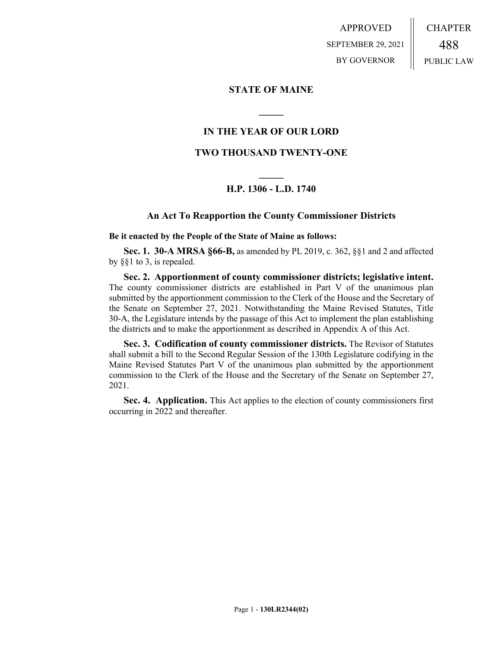APPROVED SEPTEMBER 29, 2021 BY GOVERNOR CHAPTER 488 PUBLIC LAW

#### **STATE OF MAINE**

#### **IN THE YEAR OF OUR LORD**

**\_\_\_\_\_**

#### **TWO THOUSAND TWENTY-ONE**

#### **\_\_\_\_\_ H.P. 1306 - L.D. 1740**

#### **An Act To Reapportion the County Commissioner Districts**

**Be it enacted by the People of the State of Maine as follows:**

**Sec. 1. 30-A MRSA §66-B,** as amended by PL 2019, c. 362, §§1 and 2 and affected by §§1 to 3, is repealed.

**Sec. 2. Apportionment of county commissioner districts; legislative intent.** The county commissioner districts are established in Part V of the unanimous plan submitted by the apportionment commission to the Clerk of the House and the Secretary of the Senate on September 27, 2021. Notwithstanding the Maine Revised Statutes, Title 30-A, the Legislature intends by the passage of this Act to implement the plan establishing the districts and to make the apportionment as described in Appendix A of this Act.

**Sec. 3. Codification of county commissioner districts.** The Revisor of Statutes shall submit a bill to the Second Regular Session of the 130th Legislature codifying in the Maine Revised Statutes Part V of the unanimous plan submitted by the apportionment commission to the Clerk of the House and the Secretary of the Senate on September 27, 2021.

**Sec. 4. Application.** This Act applies to the election of county commissioners first occurring in 2022 and thereafter.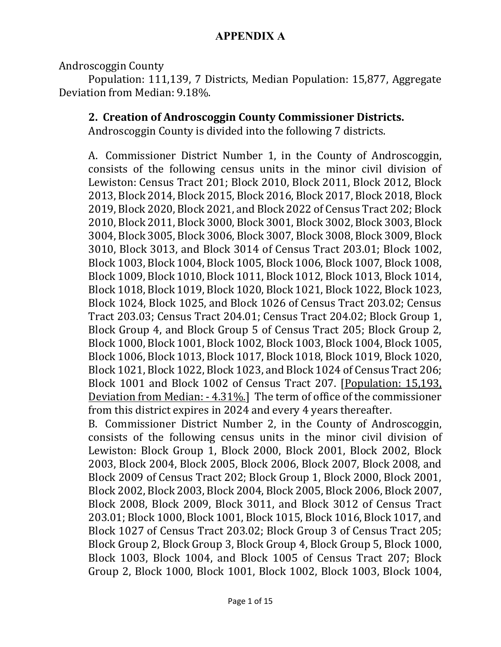Androscoggin County

Population: 111,139, 7 Districts, Median Population: 15,877, Aggregate Deviation from Median: 9.18%.

### **2. Creation of Androscoggin County Commissioner Districts.**

Androscoggin County is divided into the following 7 districts.

A. Commissioner District Number 1, in the County of Androscoggin, consists of the following census units in the minor civil division of Lewiston: Census Tract 201; Block 2010, Block 2011, Block 2012, Block 2013, Block 2014, Block 2015, Block 2016, Block 2017, Block 2018, Block 2019, Block 2020, Block 2021, and Block 2022 of Census Tract 202; Block 2010, Block 2011, Block 3000, Block 3001, Block 3002, Block 3003, Block 3004, Block 3005, Block 3006, Block 3007, Block 3008, Block 3009, Block 3010, Block 3013, and Block 3014 of Census Tract 203.01; Block 1002, Block 1003, Block 1004, Block 1005, Block 1006, Block 1007, Block 1008, Block 1009, Block 1010, Block 1011, Block 1012, Block 1013, Block 1014, Block 1018, Block 1019, Block 1020, Block 1021, Block 1022, Block 1023, Block 1024, Block 1025, and Block 1026 of Census Tract 203.02; Census Tract 203.03; Census Tract 204.01; Census Tract 204.02; Block Group 1, Block Group 4, and Block Group 5 of Census Tract 205; Block Group 2, Block 1000, Block 1001, Block 1002, Block 1003, Block 1004, Block 1005, Block 1006, Block 1013, Block 1017, Block 1018, Block 1019, Block 1020, Block 1021, Block 1022, Block 1023, and Block 1024 of Census Tract 206; Block 1001 and Block 1002 of Census Tract 207. [Population: 15,193, Deviation from Median: - 4.31%.] The term of office of the commissioner from this district expires in 2024 and every 4 years thereafter.

B. Commissioner District Number 2, in the County of Androscoggin, consists of the following census units in the minor civil division of Lewiston: Block Group 1, Block 2000, Block 2001, Block 2002, Block 2003, Block 2004, Block 2005, Block 2006, Block 2007, Block 2008, and Block 2009 of Census Tract 202; Block Group 1, Block 2000, Block 2001, Block 2002, Block 2003, Block 2004, Block 2005, Block 2006, Block 2007, Block 2008, Block 2009, Block 3011, and Block 3012 of Census Tract 203.01; Block 1000, Block 1001, Block 1015, Block 1016, Block 1017, and Block 1027 of Census Tract 203.02; Block Group 3 of Census Tract 205; Block Group 2, Block Group 3, Block Group 4, Block Group 5, Block 1000, Block 1003, Block 1004, and Block 1005 of Census Tract 207; Block Group 2, Block 1000, Block 1001, Block 1002, Block 1003, Block 1004,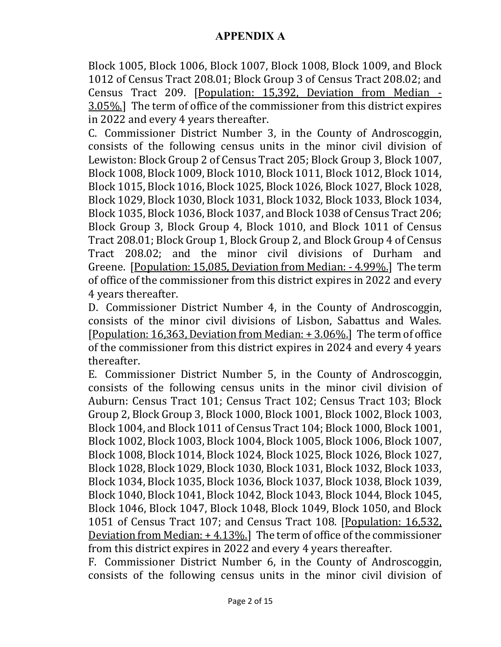Block 1005, Block 1006, Block 1007, Block 1008, Block 1009, and Block 1012 of Census Tract 208.01; Block Group 3 of Census Tract 208.02; and Census Tract 209. [Population: 15,392, Deviation from Median - 3.05%.] The term of office of the commissioner from this district expires in 2022 and every 4 years thereafter.

C. Commissioner District Number 3, in the County of Androscoggin, consists of the following census units in the minor civil division of Lewiston: Block Group 2 of Census Tract 205; Block Group 3, Block 1007, Block 1008, Block 1009, Block 1010, Block 1011, Block 1012, Block 1014, Block 1015, Block 1016, Block 1025, Block 1026, Block 1027, Block 1028, Block 1029, Block 1030, Block 1031, Block 1032, Block 1033, Block 1034, Block 1035, Block 1036, Block 1037, and Block 1038 of Census Tract 206; Block Group 3, Block Group 4, Block 1010, and Block 1011 of Census Tract 208.01; Block Group 1, Block Group 2, and Block Group 4 of Census Tract 208.02; and the minor civil divisions of Durham and Greene. [Population: 15,085, Deviation from Median: - 4.99%.] The term of office of the commissioner from this district expires in 2022 and every 4 years thereafter.

D. Commissioner District Number 4, in the County of Androscoggin, consists of the minor civil divisions of Lisbon, Sabattus and Wales. [Population: 16,363, Deviation from Median: + 3.06%.] The term of office of the commissioner from this district expires in 2024 and every 4 years thereafter.

E. Commissioner District Number 5, in the County of Androscoggin, consists of the following census units in the minor civil division of Auburn: Census Tract 101; Census Tract 102; Census Tract 103; Block Group 2, Block Group 3, Block 1000, Block 1001, Block 1002, Block 1003, Block 1004, and Block 1011 of Census Tract 104; Block 1000, Block 1001, Block 1002, Block 1003, Block 1004, Block 1005, Block 1006, Block 1007, Block 1008, Block 1014, Block 1024, Block 1025, Block 1026, Block 1027, Block 1028, Block 1029, Block 1030, Block 1031, Block 1032, Block 1033, Block 1034, Block 1035, Block 1036, Block 1037, Block 1038, Block 1039, Block 1040, Block 1041, Block 1042, Block 1043, Block 1044, Block 1045, Block 1046, Block 1047, Block 1048, Block 1049, Block 1050, and Block 1051 of Census Tract 107; and Census Tract 108. [Population: 16,532, Deviation from Median: + 4.13%.] The term of office of the commissioner from this district expires in 2022 and every 4 years thereafter.

F. Commissioner District Number 6, in the County of Androscoggin, consists of the following census units in the minor civil division of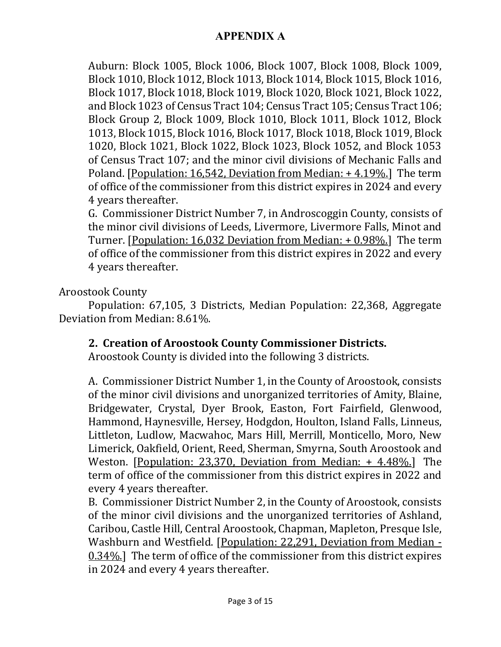Auburn: Block 1005, Block 1006, Block 1007, Block 1008, Block 1009, Block 1010, Block 1012, Block 1013, Block 1014, Block 1015, Block 1016, Block 1017, Block 1018, Block 1019, Block 1020, Block 1021, Block 1022, and Block 1023 of Census Tract 104; Census Tract 105; Census Tract 106; Block Group 2, Block 1009, Block 1010, Block 1011, Block 1012, Block 1013, Block 1015, Block 1016, Block 1017, Block 1018, Block 1019, Block 1020, Block 1021, Block 1022, Block 1023, Block 1052, and Block 1053 of Census Tract 107; and the minor civil divisions of Mechanic Falls and Poland. [Population: 16,542, Deviation from Median: + 4.19%.] The term of office of the commissioner from this district expires in 2024 and every 4 years thereafter.

G. Commissioner District Number 7, in Androscoggin County, consists of the minor civil divisions of Leeds, Livermore, Livermore Falls, Minot and Turner. [Population: 16,032 Deviation from Median: + 0.98%.] The term of office of the commissioner from this district expires in 2022 and every 4 years thereafter.

Aroostook County

Population: 67,105, 3 Districts, Median Population: 22,368, Aggregate Deviation from Median: 8.61%.

## **2. Creation of Aroostook County Commissioner Districts.**

Aroostook County is divided into the following 3 districts.

A. Commissioner District Number 1, in the County of Aroostook, consists of the minor civil divisions and unorganized territories of Amity, Blaine, Bridgewater, Crystal, Dyer Brook, Easton, Fort Fairfield, Glenwood, Hammond, Haynesville, Hersey, Hodgdon, Houlton, Island Falls, Linneus, Littleton, Ludlow, Macwahoc, Mars Hill, Merrill, Monticello, Moro, New Limerick, Oakfield, Orient, Reed, Sherman, Smyrna, South Aroostook and Weston. [Population: 23,370, Deviation from Median: + 4.48%.] The term of office of the commissioner from this district expires in 2022 and every 4 years thereafter.

B. Commissioner District Number 2, in the County of Aroostook, consists of the minor civil divisions and the unorganized territories of Ashland, Caribou, Castle Hill, Central Aroostook, Chapman, Mapleton, Presque Isle, Washburn and Westfield. [Population: 22,291, Deviation from Median - 0.34%.] The term of office of the commissioner from this district expires in 2024 and every 4 years thereafter.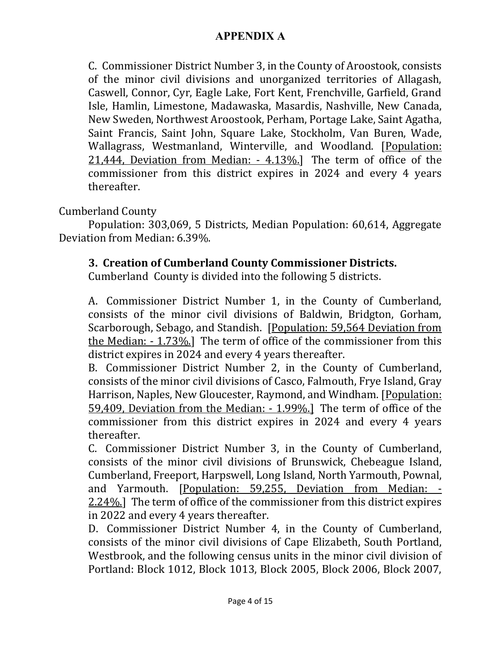C. Commissioner District Number 3, in the County of Aroostook, consists of the minor civil divisions and unorganized territories of Allagash, Caswell, Connor, Cyr, Eagle Lake, Fort Kent, Frenchville, Garfield, Grand Isle, Hamlin, Limestone, Madawaska, Masardis, Nashville, New Canada, New Sweden, Northwest Aroostook, Perham, Portage Lake, Saint Agatha, Saint Francis, Saint John, Square Lake, Stockholm, Van Buren, Wade, Wallagrass, Westmanland, Winterville, and Woodland. [Population: 21,444, Deviation from Median: - 4.13%.] The term of office of the commissioner from this district expires in 2024 and every 4 years thereafter.

Cumberland County

Population: 303,069, 5 Districts, Median Population: 60,614, Aggregate Deviation from Median: 6.39%.

## **3. Creation of Cumberland County Commissioner Districts.**

Cumberland County is divided into the following 5 districts.

A. Commissioner District Number 1, in the County of Cumberland, consists of the minor civil divisions of Baldwin, Bridgton, Gorham, Scarborough, Sebago, and Standish. [Population: 59,564 Deviation from the Median: - 1.73%.] The term of office of the commissioner from this district expires in 2024 and every 4 years thereafter.

B. Commissioner District Number 2, in the County of Cumberland, consists of the minor civil divisions of Casco, Falmouth, Frye Island, Gray Harrison, Naples, New Gloucester, Raymond, and Windham. [Population: 59,409, Deviation from the Median: - 1.99%.] The term of office of the commissioner from this district expires in 2024 and every 4 years thereafter.

C. Commissioner District Number 3, in the County of Cumberland, consists of the minor civil divisions of Brunswick, Chebeague Island, Cumberland, Freeport, Harpswell, Long Island, North Yarmouth, Pownal, and Yarmouth. [Population: 59,255, Deviation from Median: - 2.24%.] The term of office of the commissioner from this district expires in 2022 and every 4 years thereafter.

D. Commissioner District Number 4, in the County of Cumberland, consists of the minor civil divisions of Cape Elizabeth, South Portland, Westbrook, and the following census units in the minor civil division of Portland: Block 1012, Block 1013, Block 2005, Block 2006, Block 2007,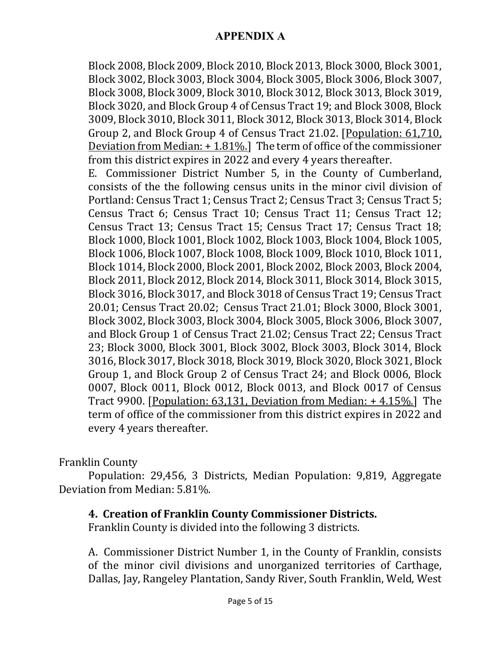Block 2008, Block 2009, Block 2010, Block 2013, Block 3000, Block 3001, Block 3002, Block 3003, Block 3004, Block 3005, Block 3006, Block 3007, Block 3008, Block 3009, Block 3010, Block 3012, Block 3013, Block 3019, Block 3020, and Block Group 4 of Census Tract 19; and Block 3008, Block 3009, Block 3010, Block 3011, Block 3012, Block 3013, Block 3014, Block Group 2, and Block Group 4 of Census Tract 21.02. [Population: 61,710, Deviation from Median: + 1.81%.] The term of office of the commissioner from this district expires in 2022 and every 4 years thereafter.

E. Commissioner District Number 5, in the County of Cumberland, consists of the the following census units in the minor civil division of Portland: Census Tract 1; Census Tract 2; Census Tract 3; Census Tract 5; Census Tract 6; Census Tract 10; Census Tract 11; Census Tract 12; Census Tract 13; Census Tract 15; Census Tract 17; Census Tract 18; Block 1000, Block 1001, Block 1002, Block 1003, Block 1004, Block 1005, Block 1006, Block 1007, Block 1008, Block 1009, Block 1010, Block 1011, Block 1014, Block 2000, Block 2001, Block 2002, Block 2003, Block 2004, Block 2011, Block 2012, Block 2014, Block 3011, Block 3014, Block 3015, Block 3016, Block 3017, and Block 3018 of Census Tract 19; Census Tract 20.01; Census Tract 20.02; Census Tract 21.01; Block 3000, Block 3001, Block 3002, Block 3003, Block 3004, Block 3005, Block 3006, Block 3007, and Block Group 1 of Census Tract 21.02; Census Tract 22; Census Tract 23; Block 3000, Block 3001, Block 3002, Block 3003, Block 3014, Block 3016, Block 3017, Block 3018, Block 3019, Block 3020, Block 3021, Block Group 1, and Block Group 2 of Census Tract 24; and Block 0006, Block 0007, Block 0011, Block 0012, Block 0013, and Block 0017 of Census Tract 9900. [Population: 63,131, Deviation from Median: + 4.15%.] The term of office of the commissioner from this district expires in 2022 and every 4 years thereafter.

#### Franklin County

Population: 29,456, 3 Districts, Median Population: 9,819, Aggregate Deviation from Median: 5.81%.

#### **4. Creation of Franklin County Commissioner Districts.**

Franklin County is divided into the following 3 districts.

A. Commissioner District Number 1, in the County of Franklin, consists of the minor civil divisions and unorganized territories of Carthage, Dallas, Jay, Rangeley Plantation, Sandy River, South Franklin, Weld, West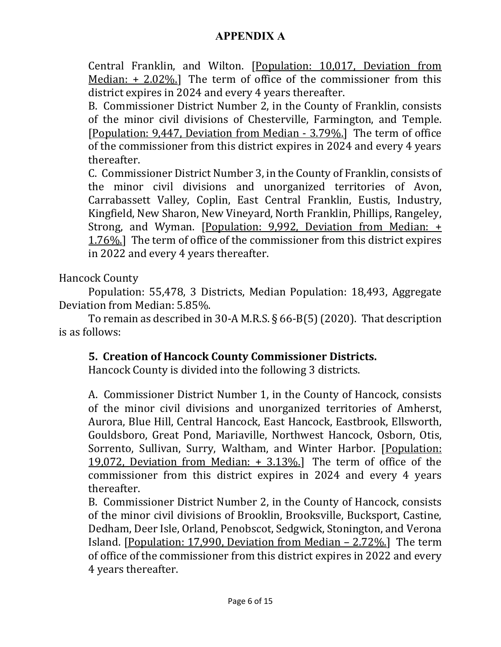Central Franklin, and Wilton. [Population: 10,017, Deviation from Median:  $+ 2.02\%$ .] The term of office of the commissioner from this district expires in 2024 and every 4 years thereafter.

B. Commissioner District Number 2, in the County of Franklin, consists of the minor civil divisions of Chesterville, Farmington, and Temple. [Population: 9,447, Deviation from Median - 3.79%.] The term of office of the commissioner from this district expires in 2024 and every 4 years thereafter.

C. Commissioner District Number 3, in the County of Franklin, consists of the minor civil divisions and unorganized territories of Avon, Carrabassett Valley, Coplin, East Central Franklin, Eustis, Industry, Kingfield, New Sharon, New Vineyard, North Franklin, Phillips, Rangeley, Strong, and Wyman. [Population: 9,992, Deviation from Median: + 1.76%.] The term of office of the commissioner from this district expires in 2022 and every 4 years thereafter.

Hancock County

Population: 55,478, 3 Districts, Median Population: 18,493, Aggregate Deviation from Median: 5.85%.

To remain as described in 30-A M.R.S. § 66-B(5) (2020). That description is as follows:

## **5. Creation of Hancock County Commissioner Districts.**

Hancock County is divided into the following 3 districts.

A. Commissioner District Number 1, in the County of Hancock, consists of the minor civil divisions and unorganized territories of Amherst, Aurora, Blue Hill, Central Hancock, East Hancock, Eastbrook, Ellsworth, Gouldsboro, Great Pond, Mariaville, Northwest Hancock, Osborn, Otis, Sorrento, Sullivan, Surry, Waltham, and Winter Harbor. [Population: 19,072, Deviation from Median:  $+$  3.13%.] The term of office of the commissioner from this district expires in 2024 and every 4 years thereafter.

B. Commissioner District Number 2, in the County of Hancock, consists of the minor civil divisions of Brooklin, Brooksville, Bucksport, Castine, Dedham, Deer Isle, Orland, Penobscot, Sedgwick, Stonington, and Verona Island. [Population: 17,990, Deviation from Median – 2.72%.] The term of office of the commissioner from this district expires in 2022 and every 4 years thereafter.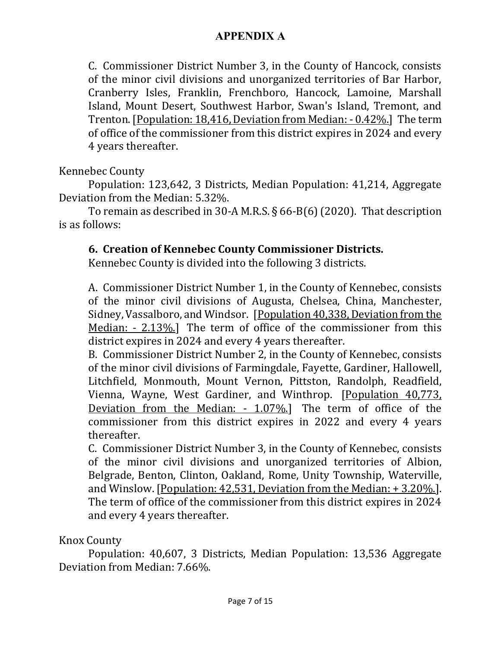C. Commissioner District Number 3, in the County of Hancock, consists of the minor civil divisions and unorganized territories of Bar Harbor, Cranberry Isles, Franklin, Frenchboro, Hancock, Lamoine, Marshall Island, Mount Desert, Southwest Harbor, Swan's Island, Tremont, and Trenton. [Population: 18,416, Deviation from Median: - 0.42%.] The term of office of the commissioner from this district expires in 2024 and every 4 years thereafter.

Kennebec County

Population: 123,642, 3 Districts, Median Population: 41,214, Aggregate Deviation from the Median: 5.32%.

To remain as described in 30-A M.R.S. § 66-B(6) (2020). That description is as follows:

## **6. Creation of Kennebec County Commissioner Districts.**

Kennebec County is divided into the following 3 districts.

A. Commissioner District Number 1, in the County of Kennebec, consists of the minor civil divisions of Augusta, Chelsea, China, Manchester, Sidney, Vassalboro, and Windsor. [Population 40,338, Deviation from the Median: - 2.13%.] The term of office of the commissioner from this district expires in 2024 and every 4 years thereafter.

B. Commissioner District Number 2, in the County of Kennebec, consists of the minor civil divisions of Farmingdale, Fayette, Gardiner, Hallowell, Litchfield, Monmouth, Mount Vernon, Pittston, Randolph, Readfield, Vienna, Wayne, West Gardiner, and Winthrop. [Population 40,773, Deviation from the Median: - 1.07%.] The term of office of the commissioner from this district expires in 2022 and every 4 years thereafter.

C. Commissioner District Number 3, in the County of Kennebec, consists of the minor civil divisions and unorganized territories of Albion, Belgrade, Benton, Clinton, Oakland, Rome, Unity Township, Waterville, and Winslow. [Population: 42,531, Deviation from the Median: + 3.20%.]. The term of office of the commissioner from this district expires in 2024 and every 4 years thereafter.

Knox County

Population: 40,607, 3 Districts, Median Population: 13,536 Aggregate Deviation from Median: 7.66%.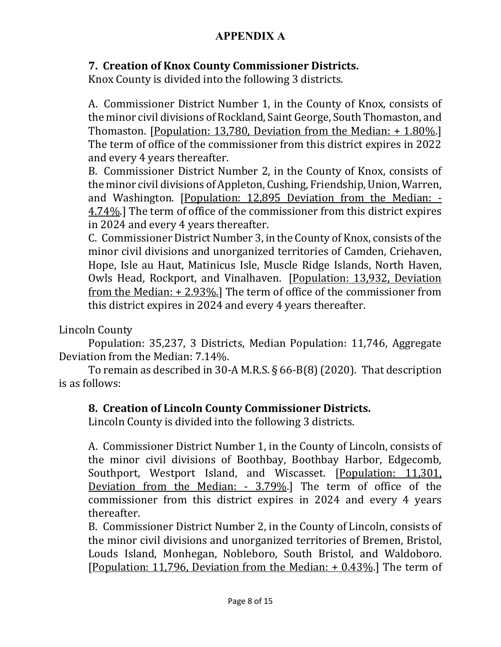# **7. Creation of Knox County Commissioner Districts.**

Knox County is divided into the following 3 districts.

A. Commissioner District Number 1, in the County of Knox, consists of the minor civil divisions of Rockland, Saint George, South Thomaston, and Thomaston. [Population: 13,780, Deviation from the Median: + 1.80%.] The term of office of the commissioner from this district expires in 2022 and every 4 years thereafter.

B. Commissioner District Number 2, in the County of Knox, consists of the minor civil divisions of Appleton, Cushing, Friendship, Union, Warren, and Washington. [Population: 12,895 Deviation from the Median: - 4.74%.] The term of office of the commissioner from this district expires in 2024 and every 4 years thereafter.

C. Commissioner District Number 3, in the County of Knox, consists of the minor civil divisions and unorganized territories of Camden, Criehaven, Hope, Isle au Haut, Matinicus Isle, Muscle Ridge Islands, North Haven, Owls Head, Rockport, and Vinalhaven. [Population: 13,932, Deviation from the Median: + 2.93%.] The term of office of the commissioner from this district expires in 2024 and every 4 years thereafter.

Lincoln County

Population: 35,237, 3 Districts, Median Population: 11,746, Aggregate Deviation from the Median: 7.14%.

To remain as described in 30-A M.R.S. § 66-B(8) (2020). That description is as follows:

## **8. Creation of Lincoln County Commissioner Districts.**

Lincoln County is divided into the following 3 districts.

A. Commissioner District Number 1, in the County of Lincoln, consists of the minor civil divisions of Boothbay, Boothbay Harbor, Edgecomb, Southport, Westport Island, and Wiscasset. [Population: 11,301, Deviation from the Median: - 3.79%.] The term of office of the commissioner from this district expires in 2024 and every 4 years thereafter.

B. Commissioner District Number 2, in the County of Lincoln, consists of the minor civil divisions and unorganized territories of Bremen, Bristol, Louds Island, Monhegan, Nobleboro, South Bristol, and Waldoboro. [Population: 11,796, Deviation from the Median: + 0.43%.] The term of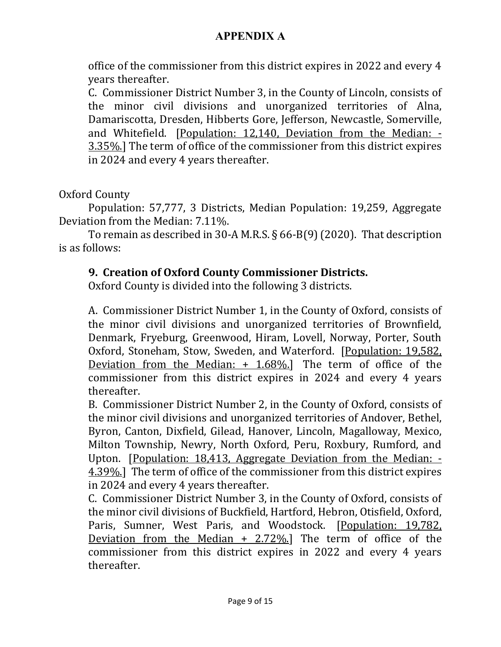office of the commissioner from this district expires in 2022 and every 4 years thereafter.

C. Commissioner District Number 3, in the County of Lincoln, consists of the minor civil divisions and unorganized territories of Alna, Damariscotta, Dresden, Hibberts Gore, Jefferson, Newcastle, Somerville, and Whitefield. [Population: 12,140, Deviation from the Median: - 3.35%.] The term of office of the commissioner from this district expires in 2024 and every 4 years thereafter.

Oxford County

Population: 57,777, 3 Districts, Median Population: 19,259, Aggregate Deviation from the Median: 7.11%.

To remain as described in 30-A M.R.S. § 66-B(9) (2020). That description is as follows:

#### **9. Creation of Oxford County Commissioner Districts.**

Oxford County is divided into the following 3 districts.

A. Commissioner District Number 1, in the County of Oxford, consists of the minor civil divisions and unorganized territories of Brownfield, Denmark, Fryeburg, Greenwood, Hiram, Lovell, Norway, Porter, South Oxford, Stoneham, Stow, Sweden, and Waterford. [Population: 19,582, Deviation from the Median:  $+$  1.68%.] The term of office of the commissioner from this district expires in 2024 and every 4 years thereafter.

B. Commissioner District Number 2, in the County of Oxford, consists of the minor civil divisions and unorganized territories of Andover, Bethel, Byron, Canton, Dixfield, Gilead, Hanover, Lincoln, Magalloway, Mexico, Milton Township, Newry, North Oxford, Peru, Roxbury, Rumford, and Upton. [Population: 18,413, Aggregate Deviation from the Median: - 4.39%.] The term of office of the commissioner from this district expires in 2024 and every 4 years thereafter.

C. Commissioner District Number 3, in the County of Oxford, consists of the minor civil divisions of Buckfield, Hartford, Hebron, Otisfield, Oxford, Paris, Sumner, West Paris, and Woodstock. [Population: 19,782, Deviation from the Median + 2.72%.] The term of office of the commissioner from this district expires in 2022 and every 4 years thereafter.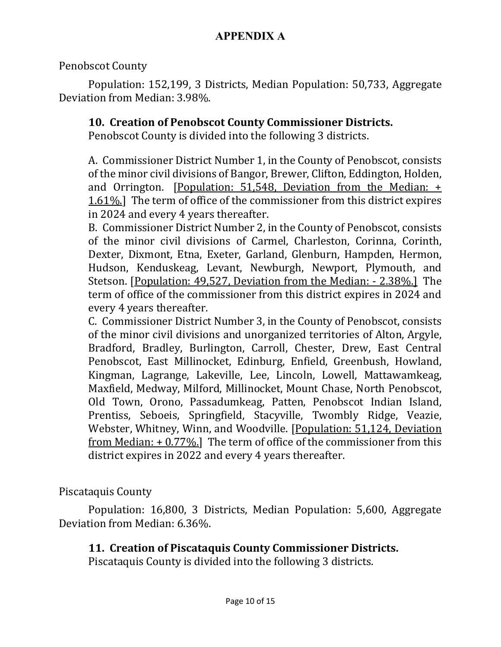Penobscot County

Population: 152,199, 3 Districts, Median Population: 50,733, Aggregate Deviation from Median: 3.98%.

## **10. Creation of Penobscot County Commissioner Districts.**

Penobscot County is divided into the following 3 districts.

A. Commissioner District Number 1, in the County of Penobscot, consists of the minor civil divisions of Bangor, Brewer, Clifton, Eddington, Holden, and Orrington. [Population: 51,548, Deviation from the Median: + 1.61%.] The term of office of the commissioner from this district expires in 2024 and every 4 years thereafter.

B. Commissioner District Number 2, in the County of Penobscot, consists of the minor civil divisions of Carmel, Charleston, Corinna, Corinth, Dexter, Dixmont, Etna, Exeter, Garland, Glenburn, Hampden, Hermon, Hudson, Kenduskeag, Levant, Newburgh, Newport, Plymouth, and Stetson. [Population: 49,527, Deviation from the Median: - 2.38%.] The term of office of the commissioner from this district expires in 2024 and every 4 years thereafter.

C. Commissioner District Number 3, in the County of Penobscot, consists of the minor civil divisions and unorganized territories of Alton, Argyle, Bradford, Bradley, Burlington, Carroll, Chester, Drew, East Central Penobscot, East Millinocket, Edinburg, Enfield, Greenbush, Howland, Kingman, Lagrange, Lakeville, Lee, Lincoln, Lowell, Mattawamkeag, Maxfield, Medway, Milford, Millinocket, Mount Chase, North Penobscot, Old Town, Orono, Passadumkeag, Patten, Penobscot Indian Island, Prentiss, Seboeis, Springfield, Stacyville, Twombly Ridge, Veazie, Webster, Whitney, Winn, and Woodville. [Population: 51,124, Deviation from Median:  $+0.77\%$ ] The term of office of the commissioner from this district expires in 2022 and every 4 years thereafter.

Piscataquis County

Population: 16,800, 3 Districts, Median Population: 5,600, Aggregate Deviation from Median: 6.36%.

# **11. Creation of Piscataquis County Commissioner Districts.**

Piscataquis County is divided into the following 3 districts.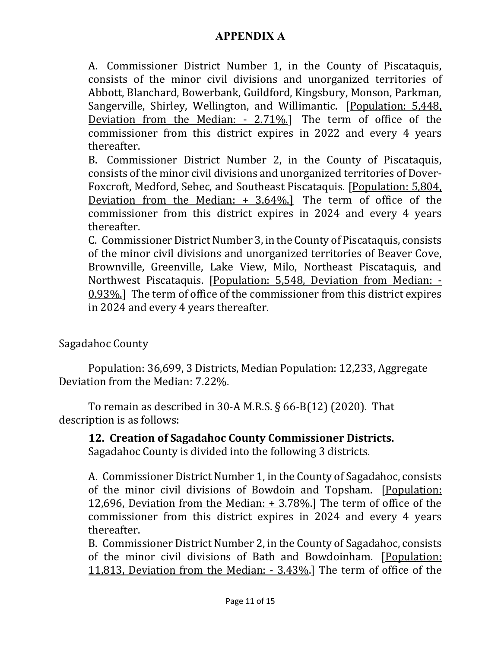A. Commissioner District Number 1, in the County of Piscataquis, consists of the minor civil divisions and unorganized territories of Abbott, Blanchard, Bowerbank, Guildford, Kingsbury, Monson, Parkman, Sangerville, Shirley, Wellington, and Willimantic. [Population: 5,448, Deviation from the Median: - 2.71%.] The term of office of the commissioner from this district expires in 2022 and every 4 years thereafter.

B. Commissioner District Number 2, in the County of Piscataquis, consists of the minor civil divisions and unorganized territories of Dover-Foxcroft, Medford, Sebec, and Southeast Piscataquis. [Population: 5,804, Deviation from the Median: + 3.64%.] The term of office of the commissioner from this district expires in 2024 and every 4 years thereafter.

C. Commissioner District Number 3, in the County of Piscataquis, consists of the minor civil divisions and unorganized territories of Beaver Cove, Brownville, Greenville, Lake View, Milo, Northeast Piscataquis, and Northwest Piscataquis. [Population: 5,548, Deviation from Median: - 0.93%.] The term of office of the commissioner from this district expires in 2024 and every 4 years thereafter.

Sagadahoc County

Population: 36,699, 3 Districts, Median Population: 12,233, Aggregate Deviation from the Median: 7.22%.

To remain as described in 30-A M.R.S.  $\S$  66-B(12) (2020). That description is as follows:

**12. Creation of Sagadahoc County Commissioner Districts.**

Sagadahoc County is divided into the following 3 districts.

A. Commissioner District Number 1, in the County of Sagadahoc, consists of the minor civil divisions of Bowdoin and Topsham. [Population: 12,696, Deviation from the Median: + 3.78%.] The term of office of the commissioner from this district expires in 2024 and every 4 years thereafter.

B. Commissioner District Number 2, in the County of Sagadahoc, consists of the minor civil divisions of Bath and Bowdoinham. [Population: 11,813, Deviation from the Median: - 3.43%.] The term of office of the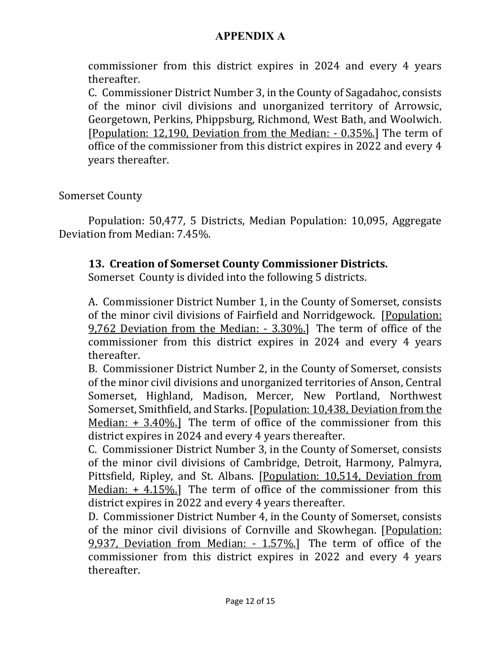commissioner from this district expires in 2024 and every 4 years thereafter.

C. Commissioner District Number 3, in the County of Sagadahoc, consists of the minor civil divisions and unorganized territory of Arrowsic, Georgetown, Perkins, Phippsburg, Richmond, West Bath, and Woolwich. [Population: 12,190, Deviation from the Median: - 0.35%.] The term of office of the commissioner from this district expires in 2022 and every 4 years thereafter.

Somerset County

Population: 50,477, 5 Districts, Median Population: 10,095, Aggregate Deviation from Median: 7.45%.

## **13. Creation of Somerset County Commissioner Districts.**

Somerset County is divided into the following 5 districts.

A. Commissioner District Number 1, in the County of Somerset, consists of the minor civil divisions of Fairfield and Norridgewock. [Population: 9,762 Deviation from the Median: - 3.30%.] The term of office of the commissioner from this district expires in 2024 and every 4 years thereafter.

B. Commissioner District Number 2, in the County of Somerset, consists of the minor civil divisions and unorganized territories of Anson, Central Somerset, Highland, Madison, Mercer, New Portland, Northwest Somerset, Smithfield, and Starks. [Population: 10,438, Deviation from the Median: + 3.40%.] The term of office of the commissioner from this district expires in 2024 and every 4 years thereafter.

C. Commissioner District Number 3, in the County of Somerset, consists of the minor civil divisions of Cambridge, Detroit, Harmony, Palmyra, Pittsfield, Ripley, and St. Albans. [Population: 10,514, Deviation from Median: + 4.15%.] The term of office of the commissioner from this district expires in 2022 and every 4 years thereafter.

D. Commissioner District Number 4, in the County of Somerset, consists of the minor civil divisions of Cornville and Skowhegan. [Population: 9,937, Deviation from Median: - 1.57%.] The term of office of the commissioner from this district expires in 2022 and every 4 years thereafter.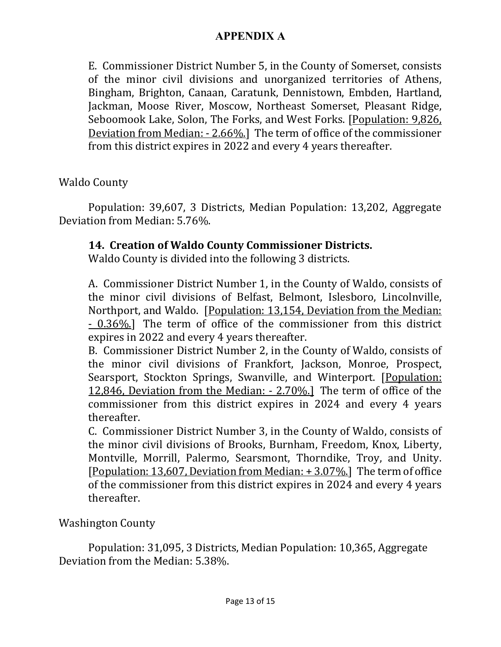E. Commissioner District Number 5, in the County of Somerset, consists of the minor civil divisions and unorganized territories of Athens, Bingham, Brighton, Canaan, Caratunk, Dennistown, Embden, Hartland, Jackman, Moose River, Moscow, Northeast Somerset, Pleasant Ridge, Seboomook Lake, Solon, The Forks, and West Forks. [Population: 9,826, Deviation from Median: - 2.66%.] The term of office of the commissioner from this district expires in 2022 and every 4 years thereafter.

Waldo County

Population: 39,607, 3 Districts, Median Population: 13,202, Aggregate Deviation from Median: 5.76%.

## **14. Creation of Waldo County Commissioner Districts.**

Waldo County is divided into the following 3 districts.

A. Commissioner District Number 1, in the County of Waldo, consists of the minor civil divisions of Belfast, Belmont, Islesboro, Lincolnville, Northport, and Waldo. [Population: 13,154, Deviation from the Median: - 0.36%.] The term of office of the commissioner from this district expires in 2022 and every 4 years thereafter.

B. Commissioner District Number 2, in the County of Waldo, consists of the minor civil divisions of Frankfort, Jackson, Monroe, Prospect, Searsport, Stockton Springs, Swanville, and Winterport. [Population: 12,846, Deviation from the Median: - 2.70%.] The term of office of the commissioner from this district expires in 2024 and every 4 years thereafter.

C. Commissioner District Number 3, in the County of Waldo, consists of the minor civil divisions of Brooks, Burnham, Freedom, Knox, Liberty, Montville, Morrill, Palermo, Searsmont, Thorndike, Troy, and Unity. [Population: 13,607, Deviation from Median: + 3.07%.] The term of office of the commissioner from this district expires in 2024 and every 4 years thereafter.

Washington County

Population: 31,095, 3 Districts, Median Population: 10,365, Aggregate Deviation from the Median: 5.38%.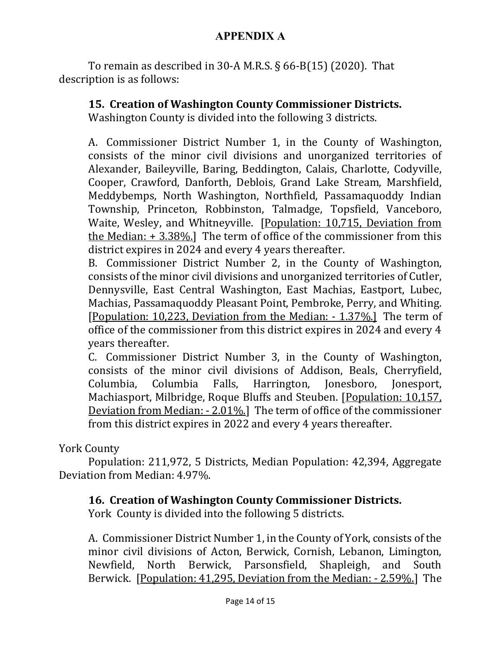To remain as described in 30-A M.R.S.  $\S$  66-B(15) (2020). That description is as follows:

# **15. Creation of Washington County Commissioner Districts.**

Washington County is divided into the following 3 districts.

A. Commissioner District Number 1, in the County of Washington, consists of the minor civil divisions and unorganized territories of Alexander, Baileyville, Baring, Beddington, Calais, Charlotte, Codyville, Cooper, Crawford, Danforth, Deblois, Grand Lake Stream, Marshfield, Meddybemps, North Washington, Northfield, Passamaquoddy Indian Township, Princeton, Robbinston, Talmadge, Topsfield, Vanceboro, Waite, Wesley, and Whitneyville. [Population: 10,715, Deviation from the Median:  $+ 3.38\%$ ] The term of office of the commissioner from this district expires in 2024 and every 4 years thereafter.

B. Commissioner District Number 2, in the County of Washington, consists of the minor civil divisions and unorganized territories of Cutler, Dennysville, East Central Washington, East Machias, Eastport, Lubec, Machias, Passamaquoddy Pleasant Point, Pembroke, Perry, and Whiting. [Population: 10,223, Deviation from the Median: - 1.37%.] The term of office of the commissioner from this district expires in 2024 and every 4 years thereafter.

C. Commissioner District Number 3, in the County of Washington, consists of the minor civil divisions of Addison, Beals, Cherryfield, Columbia, Columbia Falls, Harrington, Jonesboro, Jonesport, Machiasport, Milbridge, Roque Bluffs and Steuben. [Population: 10,157, Deviation from Median: - 2.01%.] The term of office of the commissioner from this district expires in 2022 and every 4 years thereafter.

York County

Population: 211,972, 5 Districts, Median Population: 42,394, Aggregate Deviation from Median: 4.97%.

## **16. Creation of Washington County Commissioner Districts.**

York County is divided into the following 5 districts.

A. Commissioner District Number 1, in the County of York, consists of the minor civil divisions of Acton, Berwick, Cornish, Lebanon, Limington, Newfield, North Berwick, Parsonsfield, Shapleigh, and South Berwick. [Population: 41,295, Deviation from the Median: - 2.59%.] The